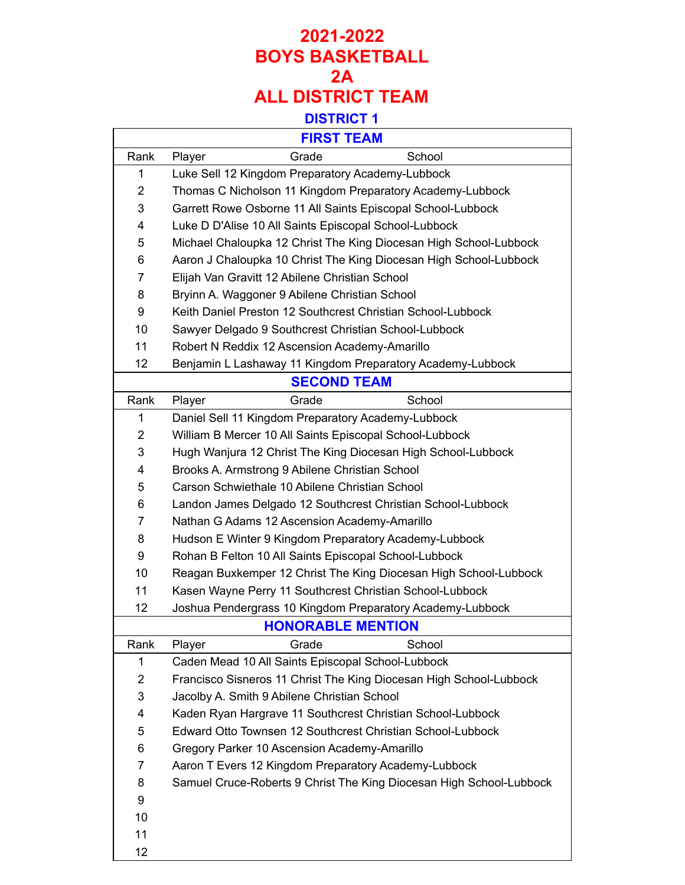#### **2021-2022 BOYS BASKETBALL 2A ALL DISTRICT TEAM DISTRICT 1**

#### **FIRST TEAM**

 $\Gamma$ 

| FIRSI IEAM     |                                                                     |  |  |
|----------------|---------------------------------------------------------------------|--|--|
| Rank           | Grade<br>School<br>Player                                           |  |  |
| 1              | Luke Sell 12 Kingdom Preparatory Academy-Lubbock                    |  |  |
| $\overline{2}$ | Thomas C Nicholson 11 Kingdom Preparatory Academy-Lubbock           |  |  |
| 3              | Garrett Rowe Osborne 11 All Saints Episcopal School-Lubbock         |  |  |
| 4              | Luke D D'Alise 10 All Saints Episcopal School-Lubbock               |  |  |
| 5              | Michael Chaloupka 12 Christ The King Diocesan High School-Lubbock   |  |  |
| 6              | Aaron J Chaloupka 10 Christ The King Diocesan High School-Lubbock   |  |  |
| 7              | Elijah Van Gravitt 12 Abilene Christian School                      |  |  |
| 8              | Bryinn A. Waggoner 9 Abilene Christian School                       |  |  |
| 9              | Keith Daniel Preston 12 Southcrest Christian School-Lubbock         |  |  |
| 10             | Sawyer Delgado 9 Southcrest Christian School-Lubbock                |  |  |
| 11             | Robert N Reddix 12 Ascension Academy-Amarillo                       |  |  |
| 12             | Benjamin L Lashaway 11 Kingdom Preparatory Academy-Lubbock          |  |  |
|                | <b>SECOND TEAM</b>                                                  |  |  |
| Rank           | Player<br>Grade<br>School                                           |  |  |
| 1              | Daniel Sell 11 Kingdom Preparatory Academy-Lubbock                  |  |  |
| $\overline{2}$ | William B Mercer 10 All Saints Episcopal School-Lubbock             |  |  |
| 3              | Hugh Wanjura 12 Christ The King Diocesan High School-Lubbock        |  |  |
| 4              | Brooks A. Armstrong 9 Abilene Christian School                      |  |  |
| 5              | Carson Schwiethale 10 Abilene Christian School                      |  |  |
| 6              | Landon James Delgado 12 Southcrest Christian School-Lubbock         |  |  |
| 7              | Nathan G Adams 12 Ascension Academy-Amarillo                        |  |  |
| 8              | Hudson E Winter 9 Kingdom Preparatory Academy-Lubbock               |  |  |
| 9              | Rohan B Felton 10 All Saints Episcopal School-Lubbock               |  |  |
| 10             | Reagan Buxkemper 12 Christ The King Diocesan High School-Lubbock    |  |  |
| 11             | Kasen Wayne Perry 11 Southcrest Christian School-Lubbock            |  |  |
| 12             | Joshua Pendergrass 10 Kingdom Preparatory Academy-Lubbock           |  |  |
|                | <b>HONORABLE MENTION</b>                                            |  |  |
| Rank           | Grade<br>School<br>Player                                           |  |  |
| 1              | Caden Mead 10 All Saints Episcopal School-Lubbock                   |  |  |
| 2              | Francisco Sisneros 11 Christ The King Diocesan High School-Lubbock  |  |  |
| 3              | Jacolby A. Smith 9 Abilene Christian School                         |  |  |
| 4              | Kaden Ryan Hargrave 11 Southcrest Christian School-Lubbock          |  |  |
| 5              | Edward Otto Townsen 12 Southcrest Christian School-Lubbock          |  |  |
| 6              | Gregory Parker 10 Ascension Academy-Amarillo                        |  |  |
| 7              | Aaron T Evers 12 Kingdom Preparatory Academy-Lubbock                |  |  |
| 8              | Samuel Cruce-Roberts 9 Christ The King Diocesan High School-Lubbock |  |  |
| 9              |                                                                     |  |  |
| 10             |                                                                     |  |  |
| 11             |                                                                     |  |  |
| 12             |                                                                     |  |  |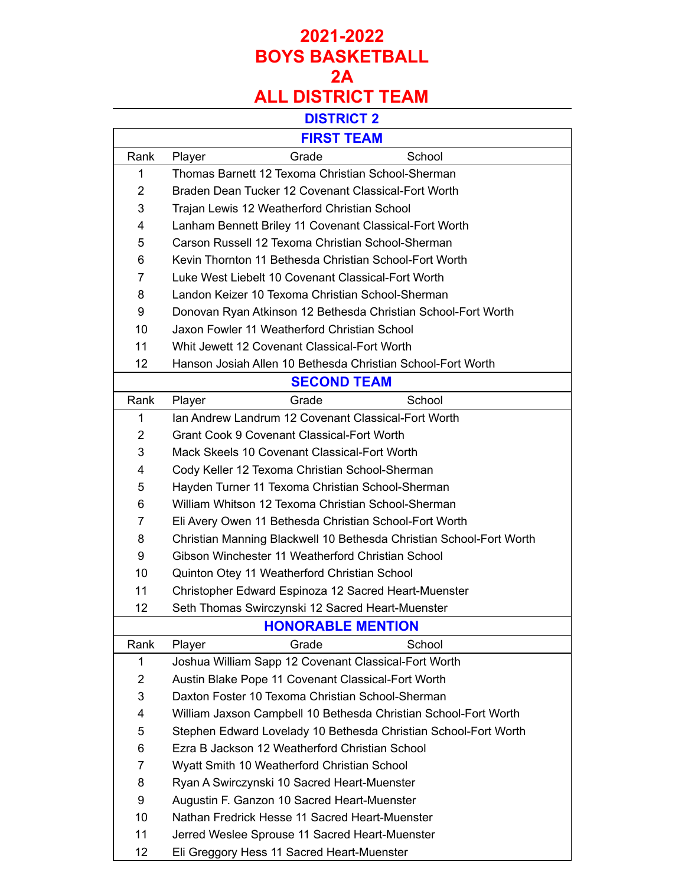# **2021-2022 BOYS BASKETBALL 2A**

# **ALL DISTRICT TEAM**

#### **DISTRICT 2**

| <b>FIRST TEAM</b> |                                                                     |  |  |  |
|-------------------|---------------------------------------------------------------------|--|--|--|
| Rank              | School<br>Player<br>Grade                                           |  |  |  |
| 1                 | Thomas Barnett 12 Texoma Christian School-Sherman                   |  |  |  |
| $\overline{2}$    | Braden Dean Tucker 12 Covenant Classical-Fort Worth                 |  |  |  |
| 3                 | Trajan Lewis 12 Weatherford Christian School                        |  |  |  |
| 4                 | Lanham Bennett Briley 11 Covenant Classical-Fort Worth              |  |  |  |
| 5                 | Carson Russell 12 Texoma Christian School-Sherman                   |  |  |  |
| 6                 | Kevin Thornton 11 Bethesda Christian School-Fort Worth              |  |  |  |
| 7                 | Luke West Liebelt 10 Covenant Classical-Fort Worth                  |  |  |  |
| 8                 | Landon Keizer 10 Texoma Christian School-Sherman                    |  |  |  |
| 9                 | Donovan Ryan Atkinson 12 Bethesda Christian School-Fort Worth       |  |  |  |
| 10                | Jaxon Fowler 11 Weatherford Christian School                        |  |  |  |
| 11                | Whit Jewett 12 Covenant Classical-Fort Worth                        |  |  |  |
| 12                | Hanson Josiah Allen 10 Bethesda Christian School-Fort Worth         |  |  |  |
|                   | <b>SECOND TEAM</b>                                                  |  |  |  |
| Rank              | Grade<br>School<br>Player                                           |  |  |  |
| 1                 | Ian Andrew Landrum 12 Covenant Classical-Fort Worth                 |  |  |  |
| $\overline{2}$    | <b>Grant Cook 9 Covenant Classical-Fort Worth</b>                   |  |  |  |
| 3                 | Mack Skeels 10 Covenant Classical-Fort Worth                        |  |  |  |
| 4                 | Cody Keller 12 Texoma Christian School-Sherman                      |  |  |  |
| 5                 | Hayden Turner 11 Texoma Christian School-Sherman                    |  |  |  |
| 6                 | William Whitson 12 Texoma Christian School-Sherman                  |  |  |  |
| 7                 | Eli Avery Owen 11 Bethesda Christian School-Fort Worth              |  |  |  |
| 8                 | Christian Manning Blackwell 10 Bethesda Christian School-Fort Worth |  |  |  |
| 9                 | Gibson Winchester 11 Weatherford Christian School                   |  |  |  |
| 10                | Quinton Otey 11 Weatherford Christian School                        |  |  |  |
| 11                | Christopher Edward Espinoza 12 Sacred Heart-Muenster                |  |  |  |
| 12                | Seth Thomas Swirczynski 12 Sacred Heart-Muenster                    |  |  |  |
|                   | <b>HONORABLE MENTION</b>                                            |  |  |  |
| Rank              | Grade<br>School<br>Player                                           |  |  |  |
| 1                 | Joshua William Sapp 12 Covenant Classical-Fort Worth                |  |  |  |
| 2                 | Austin Blake Pope 11 Covenant Classical-Fort Worth                  |  |  |  |
| 3                 | Daxton Foster 10 Texoma Christian School-Sherman                    |  |  |  |
| 4                 | William Jaxson Campbell 10 Bethesda Christian School-Fort Worth     |  |  |  |
| 5                 | Stephen Edward Lovelady 10 Bethesda Christian School-Fort Worth     |  |  |  |
| 6                 | Ezra B Jackson 12 Weatherford Christian School                      |  |  |  |
| 7                 | Wyatt Smith 10 Weatherford Christian School                         |  |  |  |
| 8                 | Ryan A Swirczynski 10 Sacred Heart-Muenster                         |  |  |  |
| 9                 | Augustin F. Ganzon 10 Sacred Heart-Muenster                         |  |  |  |
| 10                | Nathan Fredrick Hesse 11 Sacred Heart-Muenster                      |  |  |  |
| 11                | Jerred Weslee Sprouse 11 Sacred Heart-Muenster                      |  |  |  |
| 12                | Eli Greggory Hess 11 Sacred Heart-Muenster                          |  |  |  |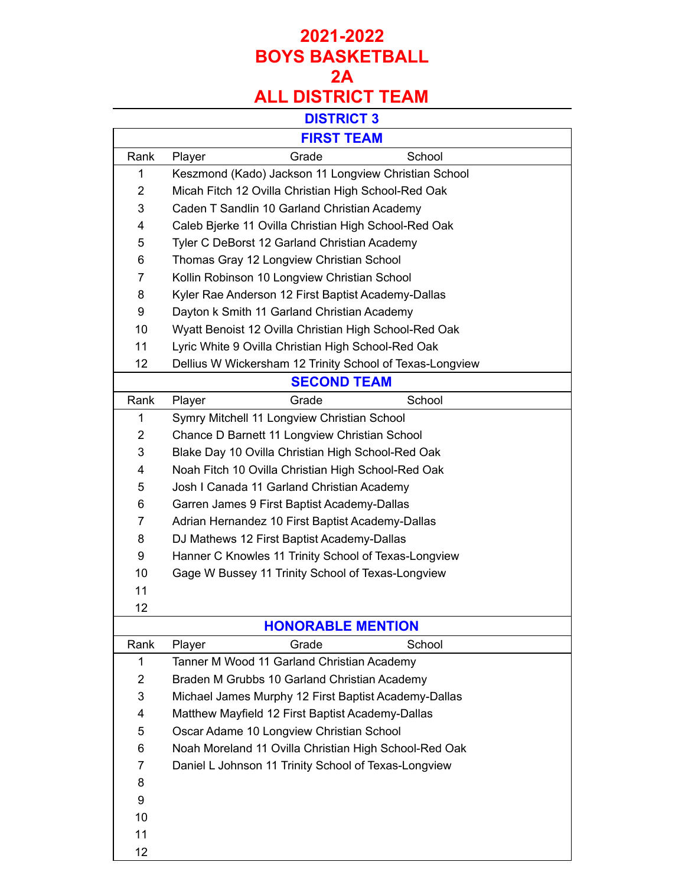# **2021-2022 BOYS BASKETBALL 2A**

# **ALL DISTRICT TEAM**

#### **DISTRICT 3**

| <b>FIRST TEAM</b>        |                                                          |  |  |
|--------------------------|----------------------------------------------------------|--|--|
| Rank                     | School<br>Player<br>Grade                                |  |  |
| 1                        | Keszmond (Kado) Jackson 11 Longview Christian School     |  |  |
| $\overline{2}$           | Micah Fitch 12 Ovilla Christian High School-Red Oak      |  |  |
| 3                        | Caden T Sandlin 10 Garland Christian Academy             |  |  |
| 4                        | Caleb Bjerke 11 Ovilla Christian High School-Red Oak     |  |  |
| 5                        | Tyler C DeBorst 12 Garland Christian Academy             |  |  |
| 6                        | Thomas Gray 12 Longview Christian School                 |  |  |
| 7                        | Kollin Robinson 10 Longview Christian School             |  |  |
| 8                        | Kyler Rae Anderson 12 First Baptist Academy-Dallas       |  |  |
| 9                        | Dayton k Smith 11 Garland Christian Academy              |  |  |
| 10                       | Wyatt Benoist 12 Ovilla Christian High School-Red Oak    |  |  |
| 11                       | Lyric White 9 Ovilla Christian High School-Red Oak       |  |  |
| 12                       | Dellius W Wickersham 12 Trinity School of Texas-Longview |  |  |
| <b>SECOND TEAM</b>       |                                                          |  |  |
| Rank                     | Grade<br>School<br>Player                                |  |  |
| 1                        | Symry Mitchell 11 Longview Christian School              |  |  |
| $\overline{2}$           | Chance D Barnett 11 Longview Christian School            |  |  |
| 3                        | Blake Day 10 Ovilla Christian High School-Red Oak        |  |  |
| 4                        | Noah Fitch 10 Ovilla Christian High School-Red Oak       |  |  |
| 5                        | Josh I Canada 11 Garland Christian Academy               |  |  |
| 6                        | Garren James 9 First Baptist Academy-Dallas              |  |  |
| 7                        | Adrian Hernandez 10 First Baptist Academy-Dallas         |  |  |
| 8                        | DJ Mathews 12 First Baptist Academy-Dallas               |  |  |
| 9                        | Hanner C Knowles 11 Trinity School of Texas-Longview     |  |  |
| 10                       | Gage W Bussey 11 Trinity School of Texas-Longview        |  |  |
| 11                       |                                                          |  |  |
| 12                       |                                                          |  |  |
| <b>HONORABLE MENTION</b> |                                                          |  |  |
| Rank                     | School<br>Player<br>Grade                                |  |  |
| 1                        | Tanner M Wood 11 Garland Christian Academy               |  |  |
| っ                        | Braden M Grubbs 10 Garland Christian Academy             |  |  |

| 1  | Tanner M Wood 11 Garland Christian Academy            |
|----|-------------------------------------------------------|
| 2  | Braden M Grubbs 10 Garland Christian Academy          |
| 3  | Michael James Murphy 12 First Baptist Academy-Dallas  |
| 4  | Matthew Mayfield 12 First Baptist Academy-Dallas      |
| 5  | Oscar Adame 10 Longview Christian School              |
| 6  | Noah Moreland 11 Ovilla Christian High School-Red Oak |
| 7  | Daniel L Johnson 11 Trinity School of Texas-Longview  |
| 8  |                                                       |
| 9  |                                                       |
| 10 |                                                       |
| 11 |                                                       |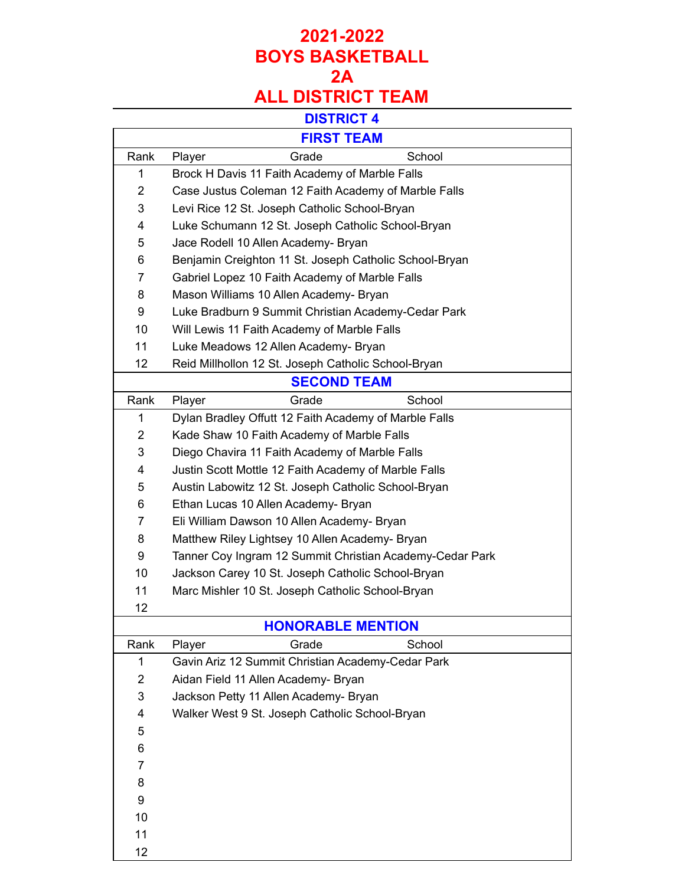# **2021-2022 BOYS BASKETBALL 2A**

# **ALL DISTRICT TEAM**

## **DISTRICT 4**

| <b>FIRST TEAM</b>   |                                                                                                          |  |  |
|---------------------|----------------------------------------------------------------------------------------------------------|--|--|
| Rank                | Grade<br>School                                                                                          |  |  |
|                     | Player                                                                                                   |  |  |
| 1<br>$\overline{2}$ | Brock H Davis 11 Faith Academy of Marble Falls                                                           |  |  |
| 3                   | Case Justus Coleman 12 Faith Academy of Marble Falls                                                     |  |  |
| 4                   | Levi Rice 12 St. Joseph Catholic School-Bryan                                                            |  |  |
| 5                   | Luke Schumann 12 St. Joseph Catholic School-Bryan                                                        |  |  |
| 6                   | Jace Rodell 10 Allen Academy- Bryan                                                                      |  |  |
| $\overline{7}$      | Benjamin Creighton 11 St. Joseph Catholic School-Bryan<br>Gabriel Lopez 10 Faith Academy of Marble Falls |  |  |
| 8                   | Mason Williams 10 Allen Academy- Bryan                                                                   |  |  |
| 9                   | Luke Bradburn 9 Summit Christian Academy-Cedar Park                                                      |  |  |
| 10                  | Will Lewis 11 Faith Academy of Marble Falls                                                              |  |  |
| 11                  | Luke Meadows 12 Allen Academy- Bryan                                                                     |  |  |
| 12                  | Reid Millhollon 12 St. Joseph Catholic School-Bryan                                                      |  |  |
|                     |                                                                                                          |  |  |
|                     | <b>SECOND TEAM</b>                                                                                       |  |  |
| Rank                | Grade<br>School<br>Player                                                                                |  |  |
| 1                   | Dylan Bradley Offutt 12 Faith Academy of Marble Falls                                                    |  |  |
| $\overline{2}$      | Kade Shaw 10 Faith Academy of Marble Falls                                                               |  |  |
| 3                   | Diego Chavira 11 Faith Academy of Marble Falls                                                           |  |  |
| 4                   | Justin Scott Mottle 12 Faith Academy of Marble Falls                                                     |  |  |
| 5                   | Austin Labowitz 12 St. Joseph Catholic School-Bryan                                                      |  |  |
| 6                   | Ethan Lucas 10 Allen Academy- Bryan                                                                      |  |  |
| $\overline{7}$      | Eli William Dawson 10 Allen Academy- Bryan                                                               |  |  |
| 8                   | Matthew Riley Lightsey 10 Allen Academy- Bryan                                                           |  |  |
| 9                   | Tanner Coy Ingram 12 Summit Christian Academy-Cedar Park                                                 |  |  |
| 10                  | Jackson Carey 10 St. Joseph Catholic School-Bryan                                                        |  |  |
| 11                  | Marc Mishler 10 St. Joseph Catholic School-Bryan                                                         |  |  |
| 12                  |                                                                                                          |  |  |
|                     | <b>HONORABLE MENTION</b>                                                                                 |  |  |
| Rank                | School<br>Player<br>Grade                                                                                |  |  |
| 1                   | Gavin Ariz 12 Summit Christian Academy-Cedar Park                                                        |  |  |
| $\overline{2}$      | Aidan Field 11 Allen Academy- Bryan                                                                      |  |  |
| 3                   | Jackson Petty 11 Allen Academy- Bryan                                                                    |  |  |
| 4                   | Walker West 9 St. Joseph Catholic School-Bryan                                                           |  |  |
| 5                   |                                                                                                          |  |  |
| 6                   |                                                                                                          |  |  |
| 7                   |                                                                                                          |  |  |
| 8                   |                                                                                                          |  |  |
| 9                   |                                                                                                          |  |  |
| 10                  |                                                                                                          |  |  |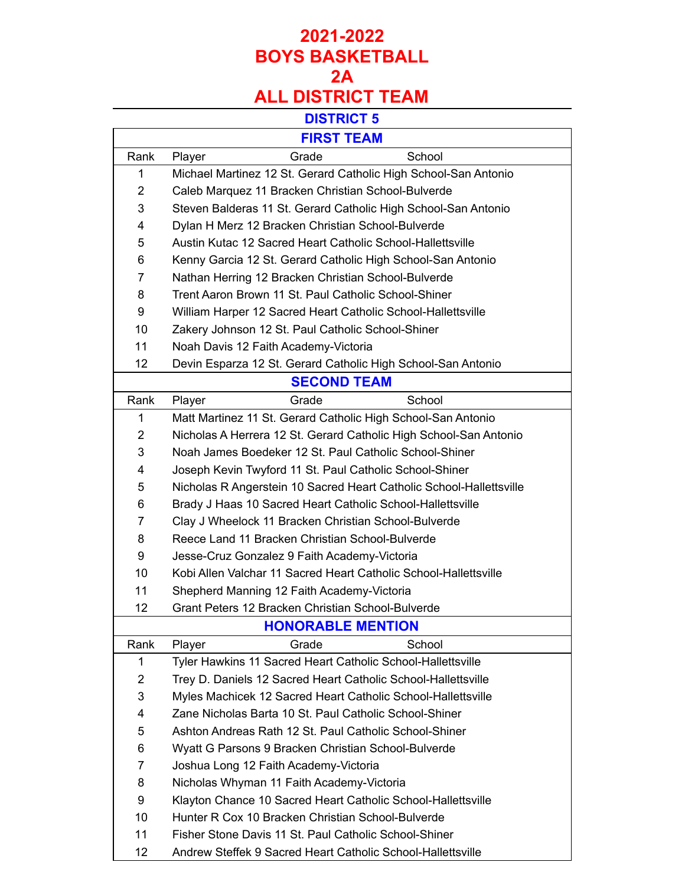### **2021-2022 BOYS BASKETBALL 2A ALL DISTRICT TEAM**

#### **DISTRICT 5**

| <b>FIRST TEAM</b>  |                                                                     |  |  |
|--------------------|---------------------------------------------------------------------|--|--|
| Rank               | Grade<br>School<br>Player                                           |  |  |
| 1                  | Michael Martinez 12 St. Gerard Catholic High School-San Antonio     |  |  |
| $\overline{2}$     | Caleb Marquez 11 Bracken Christian School-Bulverde                  |  |  |
| 3                  | Steven Balderas 11 St. Gerard Catholic High School-San Antonio      |  |  |
| 4                  | Dylan H Merz 12 Bracken Christian School-Bulverde                   |  |  |
| 5                  | Austin Kutac 12 Sacred Heart Catholic School-Hallettsville          |  |  |
| 6                  | Kenny Garcia 12 St. Gerard Catholic High School-San Antonio         |  |  |
| 7                  | Nathan Herring 12 Bracken Christian School-Bulverde                 |  |  |
| 8                  | Trent Aaron Brown 11 St. Paul Catholic School-Shiner                |  |  |
| 9                  | William Harper 12 Sacred Heart Catholic School-Hallettsville        |  |  |
| 10                 | Zakery Johnson 12 St. Paul Catholic School-Shiner                   |  |  |
| 11                 | Noah Davis 12 Faith Academy-Victoria                                |  |  |
| 12                 | Devin Esparza 12 St. Gerard Catholic High School-San Antonio        |  |  |
| <b>SECOND TEAM</b> |                                                                     |  |  |
| Rank               | Grade<br>School<br>Player                                           |  |  |
| 1                  | Matt Martinez 11 St. Gerard Catholic High School-San Antonio        |  |  |
| $\overline{2}$     | Nicholas A Herrera 12 St. Gerard Catholic High School-San Antonio   |  |  |
| 3                  | Noah James Boedeker 12 St. Paul Catholic School-Shiner              |  |  |
| 4                  | Joseph Kevin Twyford 11 St. Paul Catholic School-Shiner             |  |  |
| 5                  | Nicholas R Angerstein 10 Sacred Heart Catholic School-Hallettsville |  |  |
| 6                  | Brady J Haas 10 Sacred Heart Catholic School-Hallettsville          |  |  |
| $\overline{7}$     | Clay J Wheelock 11 Bracken Christian School-Bulverde                |  |  |
| 8                  | Reece Land 11 Bracken Christian School-Bulverde                     |  |  |
| 9                  | Jesse-Cruz Gonzalez 9 Faith Academy-Victoria                        |  |  |
| 10                 | Kobi Allen Valchar 11 Sacred Heart Catholic School-Hallettsville    |  |  |
| 11                 | Shepherd Manning 12 Faith Academy-Victoria                          |  |  |
| 12                 | Grant Peters 12 Bracken Christian School-Bulverde                   |  |  |
|                    | <b>HONORABLE MENTION</b>                                            |  |  |
| Rank               | Player<br>Grade<br>School                                           |  |  |
| 1                  | Tyler Hawkins 11 Sacred Heart Catholic School-Hallettsville         |  |  |
| $\overline{2}$     | Trey D. Daniels 12 Sacred Heart Catholic School-Hallettsville       |  |  |
| 3                  | Myles Machicek 12 Sacred Heart Catholic School-Hallettsville        |  |  |
| 4                  | Zane Nicholas Barta 10 St. Paul Catholic School-Shiner              |  |  |
| 5                  | Ashton Andreas Rath 12 St. Paul Catholic School-Shiner              |  |  |
| 6                  | Wyatt G Parsons 9 Bracken Christian School-Bulverde                 |  |  |
| 7                  | Joshua Long 12 Faith Academy-Victoria                               |  |  |
| 8                  | Nicholas Whyman 11 Faith Academy-Victoria                           |  |  |
| 9                  | Klayton Chance 10 Sacred Heart Catholic School-Hallettsville        |  |  |
| 10                 | Hunter R Cox 10 Bracken Christian School-Bulverde                   |  |  |
| 11                 | Fisher Stone Davis 11 St. Paul Catholic School-Shiner               |  |  |

Andrew Steffek 9 Sacred Heart Catholic School-Hallettsville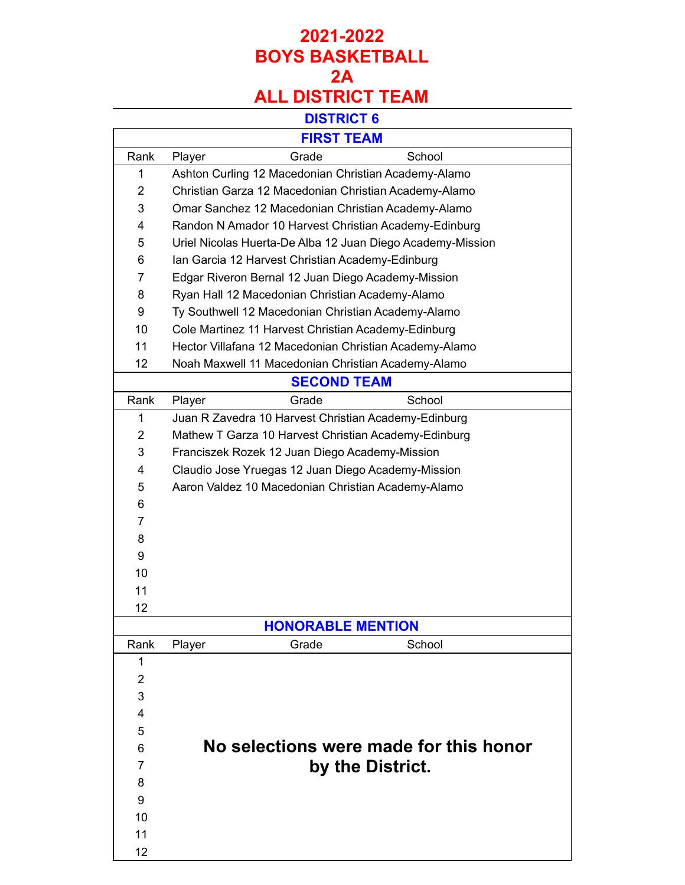## **2021-2022 BOYS BASKETBALL 2A ALL DISTRICT TEAM**

# **DISTRICT 6**

| ט ו טושו                 |                                                            |                                                        |  |  |
|--------------------------|------------------------------------------------------------|--------------------------------------------------------|--|--|
|                          |                                                            | <b>FIRST TEAM</b>                                      |  |  |
| Rank                     | Grade<br>Player                                            | School                                                 |  |  |
| 1                        |                                                            | Ashton Curling 12 Macedonian Christian Academy-Alamo   |  |  |
| $\overline{2}$           | Christian Garza 12 Macedonian Christian Academy-Alamo      |                                                        |  |  |
| 3                        | Omar Sanchez 12 Macedonian Christian Academy-Alamo         |                                                        |  |  |
| 4                        | Randon N Amador 10 Harvest Christian Academy-Edinburg      |                                                        |  |  |
| 5                        | Uriel Nicolas Huerta-De Alba 12 Juan Diego Academy-Mission |                                                        |  |  |
| 6                        | Ian Garcia 12 Harvest Christian Academy-Edinburg           |                                                        |  |  |
| 7                        | Edgar Riveron Bernal 12 Juan Diego Academy-Mission         |                                                        |  |  |
| 8                        | Ryan Hall 12 Macedonian Christian Academy-Alamo            |                                                        |  |  |
| 9                        |                                                            | Ty Southwell 12 Macedonian Christian Academy-Alamo     |  |  |
| 10                       | Cole Martinez 11 Harvest Christian Academy-Edinburg        |                                                        |  |  |
| 11                       |                                                            | Hector Villafana 12 Macedonian Christian Academy-Alamo |  |  |
| 12                       | Noah Maxwell 11 Macedonian Christian Academy-Alamo         |                                                        |  |  |
|                          | <b>SECOND TEAM</b>                                         |                                                        |  |  |
| Rank                     | Grade<br>Player                                            | School                                                 |  |  |
| 1                        | Juan R Zavedra 10 Harvest Christian Academy-Edinburg       |                                                        |  |  |
| $\overline{2}$           | Mathew T Garza 10 Harvest Christian Academy-Edinburg       |                                                        |  |  |
| 3                        | Franciszek Rozek 12 Juan Diego Academy-Mission             |                                                        |  |  |
| 4                        | Claudio Jose Yruegas 12 Juan Diego Academy-Mission         |                                                        |  |  |
| 5                        | Aaron Valdez 10 Macedonian Christian Academy-Alamo         |                                                        |  |  |
| 6                        |                                                            |                                                        |  |  |
| $\overline{7}$           |                                                            |                                                        |  |  |
| 8                        |                                                            |                                                        |  |  |
| 9                        |                                                            |                                                        |  |  |
| 10                       |                                                            |                                                        |  |  |
| 11                       |                                                            |                                                        |  |  |
| 12                       |                                                            |                                                        |  |  |
| <b>HONORABLE MENTION</b> |                                                            |                                                        |  |  |
| Rank                     | Player<br>Grade                                            | School                                                 |  |  |
| 1                        |                                                            |                                                        |  |  |
| $\overline{2}$           |                                                            |                                                        |  |  |
| 3                        |                                                            |                                                        |  |  |
| 4                        |                                                            |                                                        |  |  |
| 5                        |                                                            |                                                        |  |  |
| 6                        | No selections were made for this honor                     |                                                        |  |  |
| 7                        | by the District.                                           |                                                        |  |  |
| 8                        |                                                            |                                                        |  |  |
| 9                        |                                                            |                                                        |  |  |
| 10                       |                                                            |                                                        |  |  |